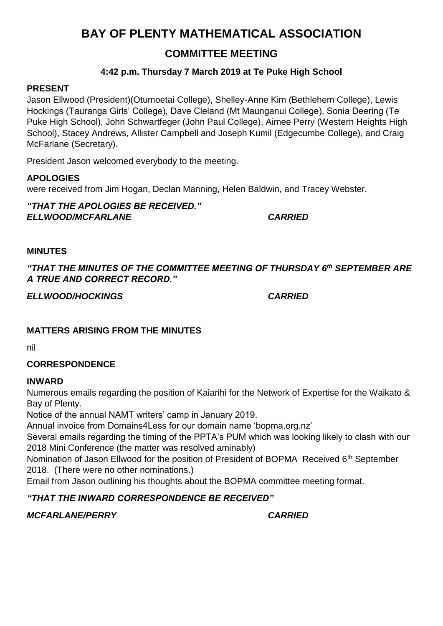# **BAY OF PLENTY MATHEMATICAL ASSOCIATION**

# **COMMITTEE MEETING**

### **4:42 p.m. Thursday 7 March 2019 at Te Puke High School**

#### **PRESENT**

Jason Ellwood (President)(Otumoetai College), Shelley-Anne Kim (Bethlehem College), Lewis Hockings (Tauranga Girls' College), Dave Cleland (Mt Maunganui College), Sonia Deering (Te Puke High School), John Schwartfeger (John Paul College), Aimee Perry (Western Heights High School), Stacey Andrews, Allister Campbell and Joseph Kumil (Edgecumbe College), and Craig McFarlane (Secretary).

President Jason welcomed everybody to the meeting.

### **APOLOGIES**

were received from Jim Hogan, Declan Manning, Helen Baldwin, and Tracey Webster.

*"THAT THE APOLOGIES BE RECEIVED." ELLWOOD/MCFARLANE CARRIED*

#### **MINUTES**

*"THAT THE MINUTES OF THE COMMITTEE MEETING OF THURSDAY 6th SEPTEMBER ARE A TRUE AND CORRECT RECORD."*

*ELLWOOD/HOCKINGS CARRIED*

### **MATTERS ARISING FROM THE MINUTES**

nil

### **CORRESPONDENCE**

#### **INWARD**

Numerous emails regarding the position of Kaiarihi for the Network of Expertise for the Waikato & Bay of Plenty.

Notice of the annual NAMT writers' camp in January 2019.

Annual invoice from Domains4Less for our domain name 'bopma.org.nz'

Several emails regarding the timing of the PPTA's PUM which was looking likely to clash with our 2018 Mini Conference (the matter was resolved aminably)

Nomination of Jason Ellwood for the position of President of BOPMA Received 6<sup>th</sup> September 2018. (There were no other nominations.)

Email from Jason outlining his thoughts about the BOPMA committee meeting format.

## *"THAT THE INWARD CORRESPONDENCE BE RECEIVED"*

*MCFARLANE/PERRY CARRIED*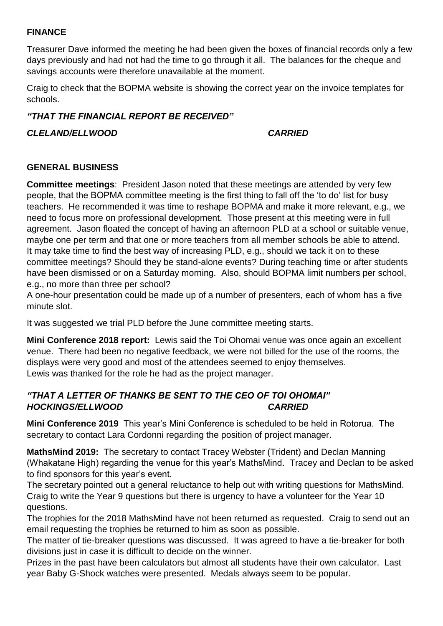#### **FINANCE**

Treasurer Dave informed the meeting he had been given the boxes of financial records only a few days previously and had not had the time to go through it all. The balances for the cheque and savings accounts were therefore unavailable at the moment.

Craig to check that the BOPMA website is showing the correct year on the invoice templates for schools.

#### *"THAT THE FINANCIAL REPORT BE RECEIVED"*

#### *CLELAND/ELLWOOD CARRIED*

#### **GENERAL BUSINESS**

**Committee meetings**: President Jason noted that these meetings are attended by very few people, that the BOPMA committee meeting is the first thing to fall off the 'to do' list for busy teachers. He recommended it was time to reshape BOPMA and make it more relevant, e.g., we need to focus more on professional development. Those present at this meeting were in full agreement. Jason floated the concept of having an afternoon PLD at a school or suitable venue, maybe one per term and that one or more teachers from all member schools be able to attend. It may take time to find the best way of increasing PLD, e.g., should we tack it on to these committee meetings? Should they be stand-alone events? During teaching time or after students have been dismissed or on a Saturday morning. Also, should BOPMA limit numbers per school, e.g., no more than three per school?

A one-hour presentation could be made up of a number of presenters, each of whom has a five minute slot.

It was suggested we trial PLD before the June committee meeting starts.

**Mini Conference 2018 report:** Lewis said the Toi Ohomai venue was once again an excellent venue. There had been no negative feedback, we were not billed for the use of the rooms, the displays were very good and most of the attendees seemed to enjoy themselves. Lewis was thanked for the role he had as the project manager.

#### *"THAT A LETTER OF THANKS BE SENT TO THE CEO OF TOI OHOMAI" HOCKINGS/ELLWOOD CARRIED*

**Mini Conference 2019** This year's Mini Conference is scheduled to be held in Rotorua. The secretary to contact Lara Cordonni regarding the position of project manager.

**MathsMind 2019:** The secretary to contact Tracey Webster (Trident) and Declan Manning (Whakatane High) regarding the venue for this year's MathsMind. Tracey and Declan to be asked to find sponsors for this year's event.

The secretary pointed out a general reluctance to help out with writing questions for MathsMind. Craig to write the Year 9 questions but there is urgency to have a volunteer for the Year 10 questions.

The trophies for the 2018 MathsMind have not been returned as requested. Craig to send out an email requesting the trophies be returned to him as soon as possible.

The matter of tie-breaker questions was discussed. It was agreed to have a tie-breaker for both divisions just in case it is difficult to decide on the winner.

Prizes in the past have been calculators but almost all students have their own calculator. Last year Baby G-Shock watches were presented. Medals always seem to be popular.